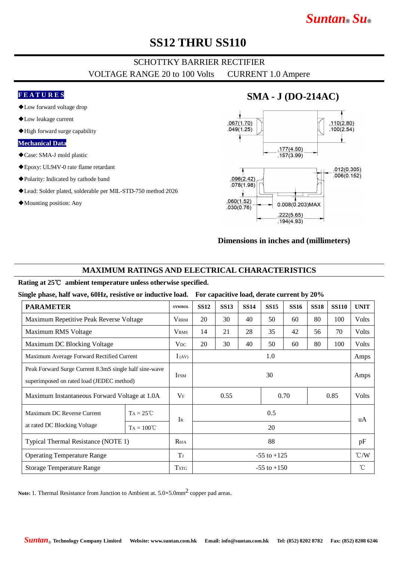# *Suntan***®** *Su***®**

### **SS12 THRU SS110**

## SCHOTTKY BARRIER RECTIFIER

VOLTAGE RANGE 20 to 100 Volts CURRENT 1.0 Ampere

### **F E A T U R E S**

- ◆Low forward voltage drop
- ◆Low leakage current
- ◆High forward surge capability

#### **Mechanical Data**

- ◆Case: SMA-J mold plastic
- ◆Epoxy: UL94V-0 rate flame retardant
- ◆Polarity: Indicated by cathode band
- ◆Lead: Solder plated, solderable per MIL-STD-750 method 2026
- ◆Mounting position: Any

### **SMA - J (DO-214AC)**



#### **Dimensions in inches and (millimeters)**

### **MAXIMUM RATINGS AND ELECTRICAL CHARACTERISTICS**

#### **Rating at 25**℃ **ambient temperature unless otherwise specified.**

**Single phase, half wave, 60Hz, resistive or inductive load. For capacitive load, derate current by 20%**

| <b>PARAMETER</b>                                                                                    |                     | <b>SYMBOL</b>   | <b>SS12</b>          | <b>SS13</b> | <b>SS14</b> | <b>SS15</b> | <b>SS16</b> | <b>SS18</b> | <b>SS110</b> | <b>UNIT</b>   |
|-----------------------------------------------------------------------------------------------------|---------------------|-----------------|----------------------|-------------|-------------|-------------|-------------|-------------|--------------|---------------|
| Maximum Repetitive Peak Reverse Voltage                                                             |                     | <b>VRRM</b>     | 20                   | 30          | 40          | 50          | 60          | 80          | 100          | Volts         |
| Maximum RMS Voltage                                                                                 |                     | <b>VRMS</b>     | 14                   | 21          | 28          | 35          | 42          | 56          | 70           | Volts         |
| Maximum DC Blocking Voltage                                                                         |                     | $V_{DC}$        | 20                   | 30          | 40          | 50          | 60          | 80          | 100          | <b>Volts</b>  |
| Maximum Average Forward Rectified Current                                                           |                     | I(AV)           | 1.0                  |             |             |             |             |             |              | Amps          |
| Peak Forward Surge Current 8.3mS single half sine-wave<br>superimposed on rated load (JEDEC method) |                     | <b>IFSM</b>     | 30                   |             |             |             |             |             |              | Amps          |
| Maximum Instantaneous Forward Voltage at 1.0A                                                       |                     | $V_{\rm F}$     | 0.70<br>0.85<br>0.55 |             |             |             |             | Volts       |              |               |
| Maximum DC Reverse Current                                                                          | $TA = 25^{\circ}C$  | $I_{R}$         | 0.5                  |             |             |             |             |             |              | uA            |
| at rated DC Blocking Voltage                                                                        | $TA = 100^{\circ}C$ |                 | 20                   |             |             |             |             |             |              |               |
| Typical Thermal Resistance (NOTE 1)                                                                 |                     | $R_{\theta JA}$ | 88                   |             |             |             |             |             |              | pF            |
| <b>Operating Temperature Range</b>                                                                  |                     | $T_{J}$         | $-55$ to $+125$      |             |             |             |             |             |              | $\degree$ C/W |
| <b>Storage Temperature Range</b>                                                                    |                     | <b>TSTG</b>     | $-55$ to $+150$      |             |             |             |             |             |              | $^{\circ}$ C  |

Note: 1. Thermal Resistance from Junction to Ambient at. 5.0×5.0mm<sup>2</sup> copper pad areas.